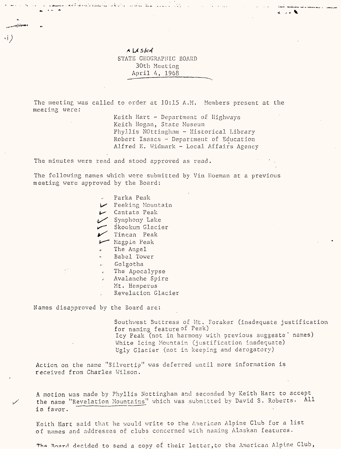## *<sup>A</sup>***U** *Sl<4* STATE GEOGRAPHIC BOARD 30th Meeting April 4, 1968

The meeting was called to order at 10:15 A.M. Members present at the meeting were:

> Keith Hart  $-$  Department of Highways Keith Hogan, State. Museum Phy.llis Nottingham - Historical Library Robert Isaacs •- Department of Education Alfred E. Widmark - Local Affairs Agency

The minutes were read and stood approved as read.

The following names which were submitted by Vin Hoeman at a previous meeting were approved by the Board:

- Parka Peak
- *Is\** Peeking Mountain
- *l^* Cantata Peak
- $\overline{\mathcal{L}}$  Symphony Lake
- Skookum Glacier
- $\sim$  Tincan Peak
- Magpie Peak
- The Angel
- Babel Tower
- Golgotha
- The Apocalypse
- *<sup>f</sup>*Avalanche Spire
- Mt. Hesperus
- Revelation Glacier

Names disapproved by the Board are:

Southwest Buttress of Mt. Foraker (inadequate justification for naming feature of Peak) Icy Peak (not in harmony with previous suggeste' names) White Icing Mountain (justification inadequate) Ugly Glacier (not in keeping and derogatory)

Action on the name "Silvertio" was deferred until more information is received from Charles Wilson.

A motion was made by Phyllis Nottingham and seconded by Keith Hart to accept the name "Revelation Mountains" which was submitted by David S. Roberts. All in favor.

Keith Hart said that he would write to the American Alpine Club for a list of names and addresses of clubs concerned with naming Alaskan features.

The Board decided to send a copy of their letter, to the American Alpine Club,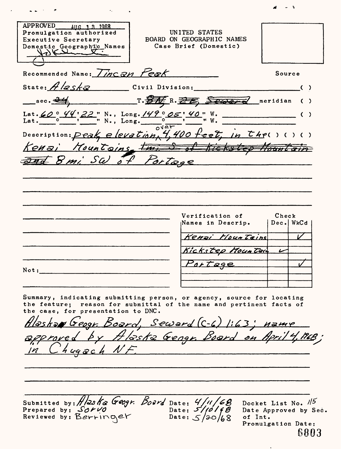APPROVED **AUG 1 3 1968** UNITED STATES Promulgation authorized BOARD ON GEOGRAPHIC NAMES Executive Secretary Domestic Geographic Names Case Brief (Domestic)  $\bigwedge$   $\qquad \qquad$  $Recommended Name:  $\overline{Cincan}$   $Peak$$ Source State: *A <i>2 Sk a*<sup>2</sup> Civil Division: sec. 24 T. Fr. 25, Sec. 1 meridian () 22 " N., Long. 149° 05  $" N., Long.$ Kenai Mountains true S of Kickstep Mountain <del>244</del> 8 mi SW of Portage Verification of  $\mathsf{Check}$ Dec. WkCd Names in Descrip. *\/ jtf'G'&xrs' /~/£ce\*r* 2"«F/yic */fi'c. tr.?* ZVz? */70&\** ZSr« *f I\*\*-*  $\overline{\mathscr{C}}$ Portage Not: Summary, indicating submitting person, or agency, source for locating the feature; reason for submittal of the name and pertinent facts of the case, for presentation to DNC. Alashow Geogr. Board, Seward (C-6) 1:63; name *</* //f C- *4 Sl//^.* Docket List No.  $1/5$ Submitted by: H/2s Kx Geogr. Doird Date: */ f 0* Prepared by: *S&ri/0*  Date: Date Approved by Sec. Reviewed by:  $\mathsf{B}e$ rri Date: of Int. Promulgation Date: 6803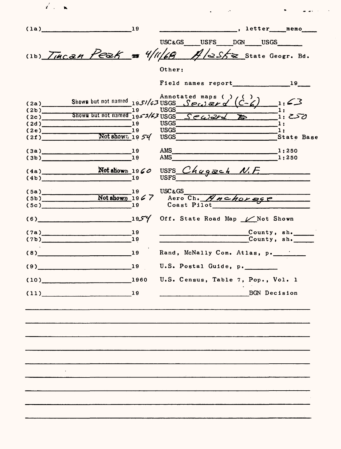| $\mathbf{z}^{\prime}$ , $\mathbf{z}$ |                     |                |                                                                                                                                      |
|--------------------------------------|---------------------|----------------|--------------------------------------------------------------------------------------------------------------------------------------|
|                                      | $(1a)$ 19           |                |                                                                                                                                      |
|                                      |                     |                | USC&GS USFS DGN USGS                                                                                                                 |
|                                      |                     |                | (1b) $\frac{1}{4\pi\epsilon a n}$ Peak = 4/11/68 $\frac{1}{4}$ /2S/2 State Geogr. Bd.                                                |
|                                      |                     |                | Other:                                                                                                                               |
|                                      |                     |                |                                                                                                                                      |
| (2a)                                 |                     |                | Annotated maps ()<br>Shown but not named 1951/63 USGS $\frac{6}{5}$ ece) $\frac{3}{5}$<br>$\frac{1}{2}$ : 43                         |
|                                      |                     |                | 1:                                                                                                                                   |
|                                      |                     |                | $(2b)$ Shown but not named 1953/63 Sealers 3/68<br>72.57 - آ                                                                         |
|                                      | (2d)                |                | -1:                                                                                                                                  |
|                                      | (2e)                | 19             | <b>USGS</b><br>$\mathbf{1}$                                                                                                          |
| (2f)                                 |                     | Not show 1954  | <b>USGS</b><br>State Base                                                                                                            |
|                                      | (3a)                | 19             | AMS<br>1:250<br><u> 1980 - Jan Barat, martin da basar a shekara tsa 1980 - An tsa 1980 - An tsa 1980 - An tsa 1980 - An tsa 1980</u> |
|                                      | (3b)                | $\mathbf{u}_1$ | AMS<br>1:250                                                                                                                         |
|                                      |                     |                |                                                                                                                                      |
|                                      |                     |                | $(4a)$ Notatiows 1960 USFS Chagzeh N.F.                                                                                              |
|                                      | $\frac{(5a)}{(5b)}$ |                | $19$ USC & GS                                                                                                                        |
| (5c)                                 |                     | 19             | Not shown $1967$ Aero Ch. Anchorse<br>Coast Pilot                                                                                    |
|                                      | (6)                 | 4 كالمحو11     | Off. State Road Map / Not Shown                                                                                                      |
|                                      | (7a)                | 19             | County, sh.                                                                                                                          |
|                                      | (7b)                | 19             | County, sh.                                                                                                                          |
|                                      | $(8)$ 19            |                | Rand, McNally Com. Atlas, p.                                                                                                         |
| (9)                                  |                     | 19             | U.S. Postal Guide, p.                                                                                                                |
|                                      | $(10)$ 1960         |                | U.S. Census, Table 7, Pop., Vol. 1                                                                                                   |
|                                      | $(11)$ 19           |                | BGN Decision                                                                                                                         |
|                                      |                     |                |                                                                                                                                      |
|                                      |                     |                |                                                                                                                                      |
|                                      |                     |                |                                                                                                                                      |
|                                      |                     |                |                                                                                                                                      |
|                                      |                     |                |                                                                                                                                      |
|                                      |                     |                |                                                                                                                                      |
|                                      |                     |                |                                                                                                                                      |
|                                      |                     |                |                                                                                                                                      |
|                                      |                     |                |                                                                                                                                      |

 $\sim 30$  km s  $^{-1}$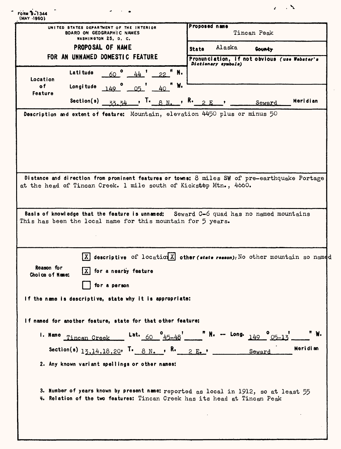| UNITED STATES DEPARTMENT OF THE INTERIOR<br>BOARD ON GEOGRAPHIC NAMES<br>WASHINGTON 25, D. C. |                                                |                                                                                                                                                                                                                              | Proposed name<br>Tincan Peak |                     |                                              |          |
|-----------------------------------------------------------------------------------------------|------------------------------------------------|------------------------------------------------------------------------------------------------------------------------------------------------------------------------------------------------------------------------------|------------------------------|---------------------|----------------------------------------------|----------|
|                                                                                               | PROPOSAL OF NAME                               |                                                                                                                                                                                                                              | <b>State</b>                 | Alaska              | Gounty                                       |          |
|                                                                                               | FOR AN UNNAMED DOMESTIC FEATURE                |                                                                                                                                                                                                                              |                              | Dictionary symbols) | Pronunciation, if not obvious (use Webster's |          |
| Location                                                                                      | Latitude                                       | 60 $^{\circ}$ 44 $^{\prime}$ 22 $^{\prime\prime}$ N.                                                                                                                                                                         |                              |                     |                                              |          |
| o f<br>Feature                                                                                | Longitude                                      | $149°$ $05°$ $40$<br>W.                                                                                                                                                                                                      |                              |                     |                                              |          |
|                                                                                               | Section(s)                                     | $\frac{33.34}{ }$ , T. 8 N.                                                                                                                                                                                                  | , R. $2E$                    |                     | Seward                                       | Meridian |
|                                                                                               |                                                | Distance and direction from prominent features or towns: 8 miles SW of pre-earthquake Portage                                                                                                                                |                              |                     |                                              |          |
|                                                                                               |                                                | at the head of Tincan Creek. 1 mile south of Kickstep Mtn., 4660.<br>Basis of knowledge that the feature is unnamed: Seward $C-6$ quad has no named mountains<br>This has been the local name for this mountain for 5 years. |                              |                     |                                              |          |
| Reason for<br>Choice of Name:                                                                 | $ X $ for a nearby feature                     | $ X $ descriptive of location $X$ other (state reason). No other mountain so named                                                                                                                                           |                              |                     |                                              |          |
|                                                                                               | for a person                                   | If the name is descriptive, state why it is appropriate:                                                                                                                                                                     |                              |                     |                                              |          |
|                                                                                               |                                                | If named for another feature, state for that other feature:                                                                                                                                                                  |                              |                     |                                              |          |
|                                                                                               | 1. Name Tincan Creek                           | Lat. 60 $^{0}$ 45-48                                                                                                                                                                                                         |                              |                     | " N. -- Long. $149$ $05-13$                  |          |
|                                                                                               |                                                | Section(s) $13.14.18.20$ , $\overline{1}$ , $8 \text{ N}$ , $\overline{1}$ , $8$ , $2 \text{ E}$ , $\overline{2}$                                                                                                            |                              |                     | Seward                                       | Meridian |
|                                                                                               | 2. Any known variant spellings or other names: |                                                                                                                                                                                                                              |                              |                     |                                              |          |